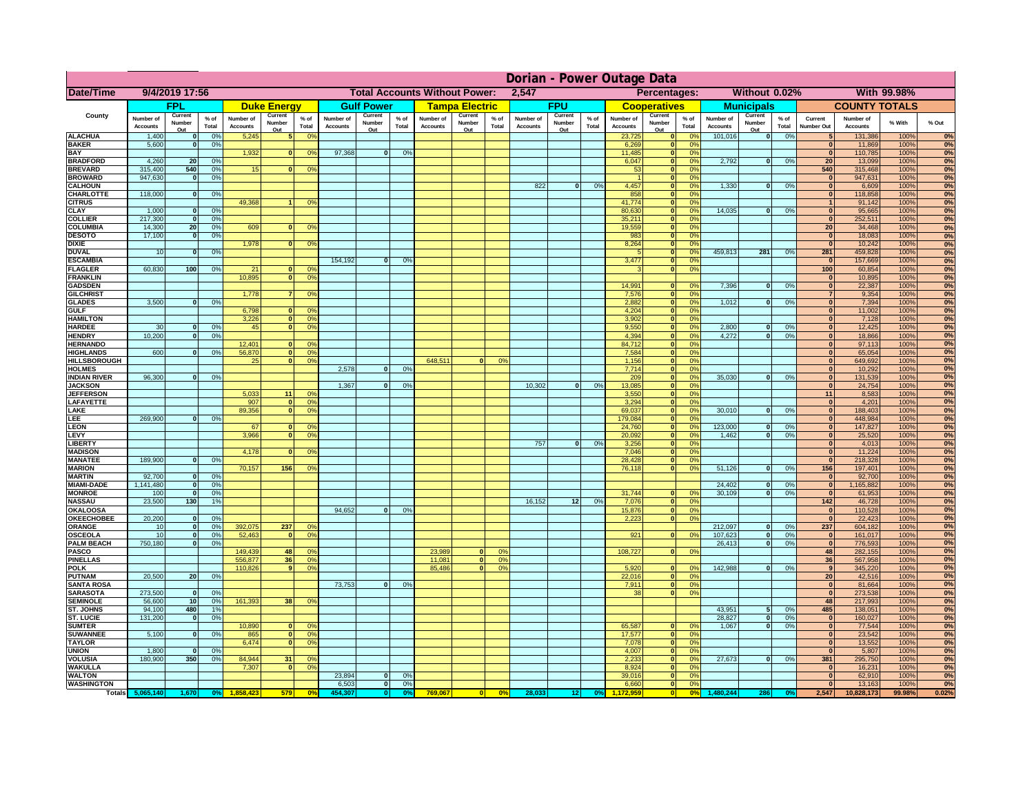|                                      | Dorian - Power Outage Data   |                          |                 |                              |                                               |                                                    |                              |                          |                 |                                              |                          |                 |                              |                          |               |                              |                               |                                                                |                              |                          |                 |                                |                              |              |          |
|--------------------------------------|------------------------------|--------------------------|-----------------|------------------------------|-----------------------------------------------|----------------------------------------------------|------------------------------|--------------------------|-----------------|----------------------------------------------|--------------------------|-----------------|------------------------------|--------------------------|---------------|------------------------------|-------------------------------|----------------------------------------------------------------|------------------------------|--------------------------|-----------------|--------------------------------|------------------------------|--------------|----------|
| Date/Time                            | 9/4/2019 17:56               |                          |                 |                              | <b>Total Accounts Without Power:</b><br>2,547 |                                                    |                              |                          |                 | Without 0.02%<br>With 99.98%<br>Percentages: |                          |                 |                              |                          |               |                              |                               |                                                                |                              |                          |                 |                                |                              |              |          |
|                                      |                              | <b>FPL</b>               |                 |                              | <b>Duke Energy</b>                            |                                                    |                              | <b>Gulf Power</b>        |                 |                                              | <b>Tampa Electric</b>    |                 |                              | <b>FPU</b>               |               |                              | <b>Cooperatives</b>           |                                                                |                              | <b>Municipals</b>        |                 |                                | <b>COUNTY TOTALS</b>         |              |          |
| County                               | Number of<br><b>Accounts</b> | Current<br>Number<br>Out | $%$ of<br>Total | Number of<br><b>Accounts</b> | Current<br>Number<br>Out                      | $%$ of<br>Total                                    | Number of<br><b>Accounts</b> | Current<br>Number<br>Out | $%$ of<br>Total | Number of<br><b>Accounts</b>                 | Current<br>Number<br>Out | $%$ of<br>Total | Number of<br><b>Accounts</b> | Current<br>Number<br>Out | % of<br>Total | Number of<br><b>Accounts</b> | Current<br>Number<br>Out      | $%$ of<br>Total                                                | Number of<br><b>Accounts</b> | Current<br>Number<br>Out | $%$ of<br>Total | Current<br><b>Number Out</b>   | Number of<br><b>Accounts</b> | % With       | % Out    |
| <b>ALACHUA</b>                       | 1,400                        | $\bf{0}$                 | 0%              | 5,245                        |                                               | 0 <sup>o</sup>                                     |                              |                          |                 |                                              |                          |                 |                              |                          |               | 23,725                       | $\mathbf 0$                   | 0 <sup>6</sup>                                                 | 101,016                      | 0                        | 0%              |                                | 131,386                      | 100%         | 0%       |
| <b>BAKER</b><br><b>BAY</b>           | 5,600                        | $\mathbf{0}$             | 0%              | 1,932                        | $\bf{0}$                                      | 0 <sup>o</sup>                                     | 97,368                       | $\mathbf{0}$             | 0%              |                                              |                          |                 |                              |                          |               | 6,269<br>11,485              | $\bf{0}$<br> 0                | 0%<br>0 <sup>9</sup>                                           |                              |                          |                 | $\mathbf{0}$<br>$\mathbf{0}$   | 11,869<br>110,785            | 100%<br>100% | 0%<br>0% |
| <b>BRADFORD</b>                      | 4,260                        | 20                       | 0%              |                              |                                               |                                                    |                              |                          |                 |                                              |                          |                 |                              |                          |               | 6,047                        | 0                             | 0 <sup>9</sup>                                                 | 2,792                        | 0                        | 0%              | 20                             | 13,099                       | 100%         | 0%       |
| <b>BREVARD</b>                       | 315,400                      | 540                      | 0%              | 15                           | $\Omega$                                      | 0 <sup>o</sup>                                     |                              |                          |                 |                                              |                          |                 |                              |                          |               | 53                           | 0                             | 0%                                                             |                              |                          |                 | 540                            | 315,468                      | 100%         | 0%       |
| <b>BROWARD</b>                       | 947,630                      | 0                        | 0%              |                              |                                               |                                                    |                              |                          |                 |                                              |                          |                 |                              |                          |               |                              | 0                             | 0%                                                             |                              |                          |                 | $\mathbf{0}$                   | 947,631                      | 100%         | 0%       |
| <b>CALHOUN</b><br>CHARLOTTE          | 118,000                      | $\mathbf{0}$             | 0%              |                              |                                               |                                                    |                              |                          |                 |                                              |                          |                 | 822                          | $\mathbf{0}$             | 0%            | 4,457<br>858                 | 0 <br> 0                      | 0%<br>0%                                                       | 1,330                        | $\overline{0}$           | 0%              | $\mathbf{0}$<br>$\mathbf{0}$   | 6,609<br>118,858             | 100%<br>100% | 0%<br>0% |
| <b>CITRUS</b>                        |                              |                          |                 | 49,368                       |                                               | 0 <sup>9</sup>                                     |                              |                          |                 |                                              |                          |                 |                              |                          |               | 41,774                       | 0                             | 0%                                                             |                              |                          |                 | $\mathbf{1}$                   | 91,142                       | 100%         | 0%       |
| <b>CLAY</b>                          | 1,000                        | 0                        | 0%              |                              |                                               |                                                    |                              |                          |                 |                                              |                          |                 |                              |                          |               | 80,630                       | 0                             | 0%                                                             | 14,035                       | $\mathbf{0}$             | 0%              | $\mathbf{0}$                   | 95,665                       | 100%         | 0%       |
| <b>COLLIER</b>                       | 217,300<br>14,300            | 0                        | 0%              | 609                          | $\bf{0}$                                      |                                                    |                              |                          |                 |                                              |                          |                 |                              |                          |               | 35,211<br>19,559             | 0 <br>$\overline{\mathbf{0}}$ | 0%<br>0%                                                       |                              |                          |                 | $\overline{0}$<br>20           | 252,511<br>34,468            | 100%         | 0%       |
| <b>COLUMBIA</b><br><b>DESOTO</b>     | 17,100                       | 20<br>$\mathbf 0$        | 0%<br>0%        |                              |                                               | 0 <sup>9</sup>                                     |                              |                          |                 |                                              |                          |                 |                              |                          |               | 983                          | 0                             | 0%                                                             |                              |                          |                 | $\mathbf{0}$                   | 18,083                       | 100%<br>100% | 0%<br>0% |
| <b>DIXIE</b>                         |                              |                          |                 | 1,978                        | 0                                             | 0 <sup>9</sup>                                     |                              |                          |                 |                                              |                          |                 |                              |                          |               | 8,264                        | 0                             | 0%                                                             |                              |                          |                 | 0                              | 10,242                       | 100%         | 0%       |
| <b>DUVAL</b>                         | 10                           | $\mathbf{0}$             | 0%              |                              |                                               |                                                    |                              |                          |                 |                                              |                          |                 |                              |                          |               | $\sqrt{2}$                   | $\overline{\mathbf{0}}$       | 0%                                                             | 459,813                      | 281                      | 0%              | 281                            | 459,828                      | 100%         | 0%       |
| <b>ESCAMBIA</b><br><b>FLAGLER</b>    | 60,830                       | 100                      |                 | 21                           | $\Omega$                                      | 0 <sup>9</sup>                                     | 154.192                      | $\overline{0}$           | 0 <sup>9</sup>  |                                              |                          |                 |                              |                          |               | 3,477<br>$\mathbf{R}$        |                               | $\overline{\mathbf{0}}$<br>0%<br>$\overline{\mathbf{0}}$<br>0% |                              |                          |                 | $\overline{\mathbf{0}}$<br>100 | 157,669<br>60,854            | 100%<br>100% | 0%       |
| <b>FRANKLIN</b>                      |                              |                          | 0%              | 10.895                       | 0                                             | 0 <sup>9</sup>                                     |                              |                          |                 |                                              |                          |                 |                              |                          |               |                              |                               |                                                                |                              |                          |                 | $\mathbf{0}$                   | 10,895                       | 100%         | 0%<br>0% |
| <b>GADSDEN</b>                       |                              |                          |                 |                              |                                               |                                                    |                              |                          |                 |                                              |                          |                 |                              |                          |               | 14.991                       |                               | 0 <br>0%                                                       | 7.396                        | $\overline{0}$           | 0%              | 0                              | 22,387                       | 100%         | 0%       |
| <b>GILCHRIST</b>                     |                              |                          |                 | 1,778                        | 7 <sup>1</sup>                                | 0 <sup>9</sup>                                     |                              |                          |                 |                                              |                          |                 |                              |                          |               | 7,576                        |                               | 0 <br>0%                                                       |                              |                          |                 | $\overline{7}$                 | 9,354                        | 100%         | 0%       |
| <b>GLADES</b><br><b>GULF</b>         | 3,500                        | $\mathbf{0}$             | 0%              | 6,798                        | $\mathbf{0}$                                  | 0 <sup>9</sup>                                     |                              |                          |                 |                                              |                          |                 |                              |                          |               | 2,882                        |                               | 0 <br>0%<br> 0 <br>0%                                          | 1,012                        | $\mathbf{0}$             | 0%              | 0 <br> 0                       | 7,394                        | 100%<br>100% | 0%<br>0% |
| <b>HAMILTON</b>                      |                              |                          |                 | 3,226                        |                                               | $\mathbf{0}$<br>0 <sup>9</sup>                     |                              |                          |                 |                                              |                          |                 |                              |                          |               | 4,204<br>3,902               |                               | 0 <br>0%                                                       |                              |                          |                 | 0                              | 11,002<br>7,128              | 100%         | 0%       |
| <b>HARDEE</b>                        | 30                           | $\mathbf{0}$             | 0%              | 45                           | 0                                             | 0 <sup>9</sup>                                     |                              |                          |                 |                                              |                          |                 |                              |                          |               | 9,550                        |                               | $\overline{0}$<br>0%                                           | 2,800                        | $\mathbf{0}$             | 0%              | 0                              | 12,425                       | 100%         | 0%       |
| <b>HENDRY</b>                        | 10.200                       | $\mathbf{0}$             | 0%              |                              |                                               |                                                    |                              |                          |                 |                                              |                          |                 |                              |                          |               | 4.394                        |                               | 0 <br>0%                                                       | 4.272                        | $\mathbf{0}$             | 0%              | 0                              | 18,866                       | 100%         | 0%       |
| <b>HERNANDO</b><br><b>HIGHLANDS</b>  | 600                          | nl                       | 0%              | 12.401<br>56,870             | n l                                           | 0 <sup>9</sup><br>$\overline{0}$<br>0 <sup>9</sup> |                              |                          |                 |                                              |                          |                 |                              |                          |               | 84.712<br>7.584              |                               | 0 <br>0%<br>0%                                                 |                              |                          |                 | 0 <br> 0                       | 97,113<br>65,054             | 100%<br>100% | 0%<br>0% |
| <b>HILLSBOROUGH</b>                  |                              |                          |                 | 25                           | 0                                             | 0 <sup>9</sup>                                     |                              |                          |                 | 648.511                                      |                          | 0%              |                              |                          |               | 1.156                        |                               | 0 <br> 0 <br>0%                                                |                              |                          |                 | 0                              | 649,692                      | 100%         | 0%       |
| <b>HOLMES</b>                        |                              |                          |                 |                              |                                               |                                                    | 2.578                        | $\Omega$                 | 0%              |                                              |                          |                 |                              |                          |               | 7.714                        |                               | 0 <br>0%                                                       |                              |                          |                 | 0                              | 10,292                       | 100%         | 0%       |
| INDIAN RIVER                         | 96,300                       | n.                       | 0%              |                              |                                               |                                                    |                              |                          |                 |                                              |                          |                 |                              |                          |               | 209                          |                               | 0 <br>0%                                                       | 35,030                       | $\Omega$                 | 0%              | 0                              | 131,539                      | 100%         | 0%       |
| <b>JACKSON</b><br><b>JEFFERSON</b>   |                              |                          |                 | 5,033                        | 11                                            | 0 <sup>o</sup>                                     | 1,367                        | $\mathbf{0}$             | 0%              |                                              |                          |                 | 10,302                       | $\Omega$                 | 0%            | 13,085<br>3,550              |                               | 0 <br>0%<br>0%<br> 0                                           |                              |                          |                 | 0 <br>11                       | 24,754<br>8,583              | 100%<br>100% | 0%<br>0% |
| <b>LAFAYETTE</b>                     |                              |                          |                 | 907                          | $\Omega$                                      | 0 <sup>o</sup>                                     |                              |                          |                 |                                              |                          |                 |                              |                          |               | 3,294                        |                               | 0 <br>0%                                                       |                              |                          |                 | 0                              | 4,201                        | 100%         | 0%       |
| LAKE                                 |                              |                          |                 | 89,356                       | 0                                             | 0 <sup>9</sup>                                     |                              |                          |                 |                                              |                          |                 |                              |                          |               | 69,037                       |                               | 0 <br>0%                                                       | 30,010                       | $\mathbf{0}$             | 0%              | 0                              | 188,403                      | 100%         | 0%       |
| LEE                                  | 269,900                      | $\Omega$                 | 0%              |                              |                                               |                                                    |                              |                          |                 |                                              |                          |                 |                              |                          |               | 179,084                      |                               | 0 <br>0%                                                       |                              |                          |                 | 0                              | 448,984                      | 100%         | 0%       |
| LEON<br>LEVY                         |                              |                          |                 | 67<br>3,966                  | $\mathbf{0}$<br>$\Omega$                      | $^{\circ}$<br>0 <sup>o</sup>                       |                              |                          |                 |                                              |                          |                 |                              |                          |               | 24,760<br>20,092             |                               | 0 <br>0%<br> 0 <br>0%                                          | 123,000<br>1,462             | $\mathbf{0}$<br>- O I    | 0%<br>0%        | 0 <br> 0                       | 147,827<br>25,520            | 100%<br>100% | 0%<br>0% |
| <b>LIBERTY</b>                       |                              |                          |                 |                              |                                               |                                                    |                              |                          |                 |                                              |                          |                 | 757                          | $\mathbf{0}$             | 0%            | 3,256                        |                               | 0 <br>0%                                                       |                              |                          |                 | 0                              | 4,013                        | 100%         | 0%       |
| <b>MADISON</b>                       |                              |                          |                 | 4,178                        | $\Omega$                                      | 0 <sup>9</sup>                                     |                              |                          |                 |                                              |                          |                 |                              |                          |               | 7,046                        |                               | 0 <br>0%                                                       |                              |                          |                 | 0                              | 11,224                       | 100%         | 0%       |
| <b>MANATEE</b>                       | 189,900                      | 0                        | 0%              |                              |                                               |                                                    |                              |                          |                 |                                              |                          |                 |                              |                          |               | 28,428                       |                               | 0 <br>0%                                                       |                              |                          |                 | 0                              | 218,328                      | 100%         | 0%       |
| <b>MARION</b><br><b>MARTIN</b>       | 92,700                       | 0                        | 0%              | 70,157                       | 156                                           | 0 <sup>o</sup>                                     |                              |                          |                 |                                              |                          |                 |                              |                          |               | 76,118                       |                               | 0 <br>0%                                                       | 51,126                       | ol                       | 0%              | 156<br> 0                      | 197,401<br>92,700            | 100%<br>100% | 0%<br>0% |
| <b>MIAMI-DADE</b>                    | 1,141,480                    | 0                        | 0%              |                              |                                               |                                                    |                              |                          |                 |                                              |                          |                 |                              |                          |               |                              |                               |                                                                | 24,402                       | $\mathbf{0}$             | 0%              | 0                              | 1,165,882                    | 100%         | 0%       |
| <b>MONROE</b>                        | 100                          | 0                        | 0%              |                              |                                               |                                                    |                              |                          |                 |                                              |                          |                 |                              |                          |               | 31,744                       |                               | 0 <br>$\Omega$ %                                               | 30,109                       | 0                        | 0%              | 0                              | 61,953                       | 100%         | 0%       |
| <b>NASSAU</b>                        | 23,500                       | 130                      | 1%              |                              |                                               |                                                    |                              |                          |                 |                                              |                          |                 | 16,152                       | 12                       | 0%            | 7,076                        |                               | 0%<br> 0                                                       |                              |                          |                 | $142$                          | 46,728                       | 100%         | 0%       |
| <b>OKALOOSA</b><br><b>OKEECHOBEE</b> | 20,200                       | 0                        | 0%              |                              |                                               |                                                    | 94,652                       | $\mathbf{0}$             | 0%              |                                              |                          |                 |                              |                          |               | 15,876<br>2,223              |                               | 0%<br> 0 <br>0%<br> 0                                          |                              |                          |                 | 0 <br> 0                       | 110,528<br>22,423            | 100%<br>100% | 0%<br>0% |
| <b>ORANGE</b>                        | 10                           | 0                        | 0%              | 392,075                      | 237                                           | 0 <sup>o</sup>                                     |                              |                          |                 |                                              |                          |                 |                              |                          |               |                              |                               |                                                                | 212,097                      | $\overline{\mathbf{0}}$  | 0%              | 237                            | 604,182                      | 100%         | 0%       |
| <b>OSCEOLA</b>                       | 10                           | 0                        | 0%              | 52,463                       | $\mathbf{0}$                                  | 0 <sup>9</sup>                                     |                              |                          |                 |                                              |                          |                 |                              |                          |               | 921                          |                               | 0 <br>0%                                                       | 107,623                      | - O I                    | 0%              | 0                              | 161,017                      | 100%         | 0%       |
| <b>PALM BEACH</b>                    | 750,180                      | 0                        | 0%              |                              |                                               |                                                    |                              |                          |                 |                                              | $\Omega$                 |                 |                              |                          |               |                              |                               |                                                                | 26,413                       | 0                        | 0%              | 0                              | 776,593                      | 100%         | 0%       |
| PASCO<br><b>PINELLAS</b>             |                              |                          |                 | 149,439<br>556,877           | 48<br>36                                      | 0 <sup>o</sup><br>0 <sup>9</sup>                   |                              |                          |                 | 23,989<br>11,081                             | 0                        | 0%<br>0%        |                              |                          |               | 108,727                      |                               | 0 <br>0%                                                       |                              |                          |                 | 48<br>36                       | 282,155<br>567,958           | 100%<br>100% | 0%<br>0% |
| <b>POLK</b>                          |                              |                          |                 | 110,826                      | 9 <sup>1</sup>                                | 0 <sup>9</sup>                                     |                              |                          |                 | 85,486                                       | $\mathbf{0}$             | 0%              |                              |                          |               | 5,920                        |                               | 0 <br>0 <sup>9</sup>                                           | 142,988                      | 0                        | 0%              | 9                              | 345,220                      | 100%         | 0%       |
| <b>PUTNAM</b>                        | 20,500                       | 20 <sup>1</sup>          | 0%              |                              |                                               |                                                    |                              |                          |                 |                                              |                          |                 |                              |                          |               | 22,016                       |                               | 0 <br>0%                                                       |                              |                          |                 | 20 <sup>1</sup>                | 42,516                       | 100%         | 0%       |
| <b>SANTA ROSA</b><br><b>SARASOTA</b> | 273,500                      | - ol                     | 0%              |                              |                                               |                                                    | 73,753                       | $\mathbf{0}$             | 0%              |                                              |                          |                 |                              |                          |               | 7,911<br>38                  |                               | 0 <br>0%<br> 0 <br>0%                                          |                              |                          |                 | 0 <br> 0                       | 81,664<br>273,538            | 100%<br>100% | 0%<br>0% |
| <b>SEMINOLE</b>                      | 56,600                       | 10 <sup>1</sup>          | 0%              | 161,393                      | 38 <sup>1</sup>                               | 0 <sup>9</sup>                                     |                              |                          |                 |                                              |                          |                 |                              |                          |               |                              |                               |                                                                |                              |                          |                 | 48                             | 217,993                      | 100%         | 0%       |
| ST. JOHNS                            | 94,100                       | 480                      | 1%              |                              |                                               |                                                    |                              |                          |                 |                                              |                          |                 |                              |                          |               |                              |                               |                                                                | 43.951                       | -51                      | 0%              | 485                            | 138,051                      | 100%         | 0%       |
| <b>ST. LUCIE</b>                     | 131,200                      | 0                        | 0%              |                              |                                               |                                                    |                              |                          |                 |                                              |                          |                 |                              |                          |               |                              |                               |                                                                | 28.827                       | -ol                      | 0%              | 0                              | 160.027                      | 100%         | 0%       |
| <b>SUMTER</b>                        |                              |                          |                 | 10,890                       |                                               | 0 <br>0 <sup>9</sup>                               |                              |                          |                 |                                              |                          |                 |                              |                          |               | 65,587                       |                               | 0 <br>0%                                                       | 1,067                        | 0                        | 0%              | 0                              | 77,544                       | 100%         | 0%       |
| <b>SUWANNEE</b><br><b>TAYLOR</b>     | 5,100                        | 0                        | 0%              | 865<br>6,474                 | 0 <br> 0                                      | 0 <sup>o</sup><br>0 <sup>9</sup>                   |                              |                          |                 |                                              |                          |                 |                              |                          |               | 17,577<br>7,078              |                               | 0 <br>0%<br> 0 <br>0%                                          |                              |                          |                 | 0 <br> 0                       | 23,542<br>13,552             | 100%<br>100% | 0%<br>0% |
| <b>UNION</b>                         | 1,800                        | $\mathbf 0$              | 0%              |                              |                                               |                                                    |                              |                          |                 |                                              |                          |                 |                              |                          |               | 4,007                        |                               | 0 <br>0%                                                       |                              |                          |                 | 0                              | 5,807                        | 100%         | 0%       |
| <b>VOLUSIA</b>                       | 180,900                      | 350                      | 0%              | 84,944                       | 31                                            | $\mathbf{0}$                                       |                              |                          |                 |                                              |                          |                 |                              |                          |               | 2,233                        |                               | 0 <br>0%                                                       | 27,673                       | 0                        | 0%              | 381                            | 295,750                      | 100%         | 0%       |
| <b>WAKULLA</b><br><b>WALTON</b>      |                              |                          |                 | 7,307                        | $\Omega$                                      | 0 <sup>9</sup>                                     | 23,894                       | $\mathbf{0}$             | 0%              |                                              |                          |                 |                              |                          |               | 8,924<br>39,016              |                               | 0 <br>0%<br> 0 <br>0%                                          |                              |                          |                 | 0 <br>$\mathbf{0}$             | 16,231<br>62,910             | 100%<br>100% | 0%<br>0% |
| <b>WASHINGTON</b>                    |                              |                          |                 |                              |                                               |                                                    | 6,503                        | 0                        | 0%              |                                              |                          |                 |                              |                          |               | 6,660                        |                               | 0 <br>0%                                                       |                              |                          |                 | $\bf{0}$                       | 13,163                       | 100%         | 0%       |
| <b>Totals</b>                        | 5,065,140                    | 1,670                    |                 |                              | 579                                           | 0 <sup>6</sup>                                     | 454.30                       | $\bullet$                |                 | 769,067                                      | $\overline{0}$           | 0%              | 28,033                       | 12                       |               |                              |                               | $\overline{\phantom{0}}$<br>$\overline{0^{\circ}}$             |                              |                          |                 | 2,547                          | 10,828,173                   | 99.98%       | 0.02%    |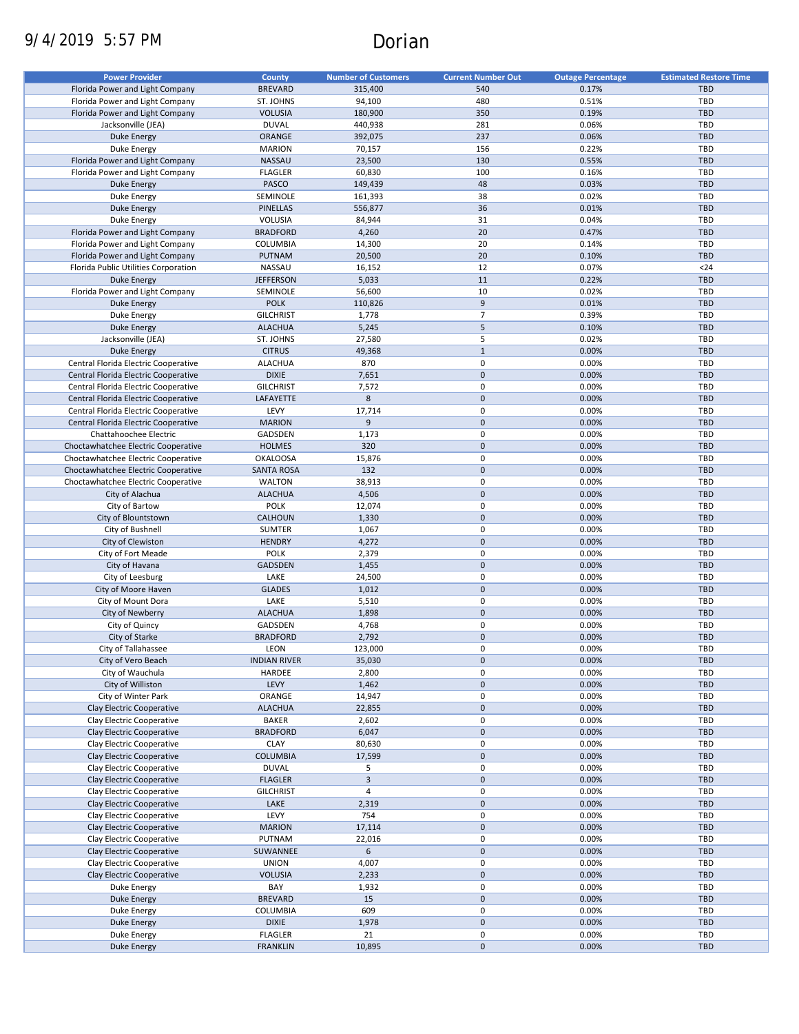# 9/4/2019 5:57 PM Dorian

| <b>Power Provider</b>                |                     |                            |                           |                          |                               |
|--------------------------------------|---------------------|----------------------------|---------------------------|--------------------------|-------------------------------|
|                                      | County              | <b>Number of Customers</b> | <b>Current Number Out</b> | <b>Outage Percentage</b> | <b>Estimated Restore Time</b> |
| Florida Power and Light Company      | <b>BREVARD</b>      | 315,400                    | 540                       | 0.17%                    | <b>TBD</b>                    |
| Florida Power and Light Company      | ST. JOHNS           | 94,100                     | 480                       | 0.51%                    | TBD                           |
| Florida Power and Light Company      | <b>VOLUSIA</b>      | 180,900                    | 350                       | 0.19%                    | <b>TBD</b>                    |
| Jacksonville (JEA)                   | <b>DUVAL</b>        | 440,938                    | 281                       | 0.06%                    | TBD                           |
| <b>Duke Energy</b>                   | ORANGE              | 392,075                    | 237                       | 0.06%                    | <b>TBD</b>                    |
|                                      | <b>MARION</b>       | 70,157                     | 156                       | 0.22%                    | TBD                           |
| Duke Energy                          |                     |                            |                           |                          |                               |
| Florida Power and Light Company      | NASSAU              | 23,500                     | 130                       | 0.55%                    | <b>TBD</b>                    |
| Florida Power and Light Company      | <b>FLAGLER</b>      | 60,830                     | 100                       | 0.16%                    | TBD                           |
| <b>Duke Energy</b>                   | PASCO               | 149,439                    | 48                        | 0.03%                    | <b>TBD</b>                    |
| Duke Energy                          | SEMINOLE            | 161,393                    | 38                        | 0.02%                    | TBD                           |
| Duke Energy                          | <b>PINELLAS</b>     | 556,877                    | 36                        | 0.01%                    | <b>TBD</b>                    |
|                                      |                     |                            | 31                        | 0.04%                    | <b>TBD</b>                    |
| Duke Energy                          | VOLUSIA             | 84,944                     |                           |                          |                               |
| Florida Power and Light Company      | <b>BRADFORD</b>     | 4,260                      | 20                        | 0.47%                    | <b>TBD</b>                    |
| Florida Power and Light Company      | COLUMBIA            | 14,300                     | 20                        | 0.14%                    | <b>TBD</b>                    |
| Florida Power and Light Company      | PUTNAM              | 20,500                     | 20                        | 0.10%                    | <b>TBD</b>                    |
| Florida Public Utilities Corporation | NASSAU              | 16,152                     | 12                        | 0.07%                    | $24$                          |
| <b>Duke Energy</b>                   | <b>JEFFERSON</b>    | 5,033                      | 11                        | 0.22%                    | <b>TBD</b>                    |
| Florida Power and Light Company      | SEMINOLE            | 56,600                     | 10                        | 0.02%                    | <b>TBD</b>                    |
|                                      |                     |                            |                           |                          |                               |
| <b>Duke Energy</b>                   | <b>POLK</b>         | 110,826                    | $9\,$                     | 0.01%                    | <b>TBD</b>                    |
| Duke Energy                          | <b>GILCHRIST</b>    | 1,778                      | $\overline{7}$            | 0.39%                    | TBD                           |
| <b>Duke Energy</b>                   | <b>ALACHUA</b>      | 5,245                      | 5                         | 0.10%                    | <b>TBD</b>                    |
| Jacksonville (JEA)                   | ST. JOHNS           | 27,580                     | 5                         | 0.02%                    | TBD                           |
| <b>Duke Energy</b>                   | <b>CITRUS</b>       | 49,368                     | $\mathbf{1}$              | 0.00%                    | <b>TBD</b>                    |
|                                      |                     |                            |                           |                          |                               |
| Central Florida Electric Cooperative | <b>ALACHUA</b>      | 870                        | $\mathbf 0$               | 0.00%                    | <b>TBD</b>                    |
| Central Florida Electric Cooperative | <b>DIXIE</b>        | 7,651                      | $\mathbf 0$               | 0.00%                    | <b>TBD</b>                    |
| Central Florida Electric Cooperative | <b>GILCHRIST</b>    | 7,572                      | 0                         | 0.00%                    | TBD                           |
| Central Florida Electric Cooperative | LAFAYETTE           | 8                          | $\mathbf 0$               | 0.00%                    | <b>TBD</b>                    |
| Central Florida Electric Cooperative | LEVY                | 17,714                     | 0                         | 0.00%                    | TBD                           |
| Central Florida Electric Cooperative | <b>MARION</b>       | 9                          | $\mathbf 0$               | 0.00%                    | <b>TBD</b>                    |
|                                      |                     |                            |                           |                          |                               |
| Chattahoochee Electric               | GADSDEN             | 1,173                      | $\mathbf 0$               | 0.00%                    | TBD                           |
| Choctawhatchee Electric Cooperative  | <b>HOLMES</b>       | 320                        | $\pmb{0}$                 | 0.00%                    | <b>TBD</b>                    |
| Choctawhatchee Electric Cooperative  | <b>OKALOOSA</b>     | 15,876                     | $\pmb{0}$                 | 0.00%                    | TBD                           |
| Choctawhatchee Electric Cooperative  | <b>SANTA ROSA</b>   | 132                        | $\mathbf 0$               | 0.00%                    | <b>TBD</b>                    |
| Choctawhatchee Electric Cooperative  | <b>WALTON</b>       | 38,913                     | $\pmb{0}$                 | 0.00%                    | TBD                           |
| City of Alachua                      | <b>ALACHUA</b>      | 4,506                      | $\pmb{0}$                 | 0.00%                    | <b>TBD</b>                    |
|                                      |                     |                            |                           |                          |                               |
| City of Bartow                       | <b>POLK</b>         | 12,074                     | $\pmb{0}$                 | 0.00%                    | TBD                           |
| City of Blountstown                  | CALHOUN             | 1,330                      | $\mathbf 0$               | 0.00%                    | <b>TBD</b>                    |
| City of Bushnell                     | <b>SUMTER</b>       | 1,067                      | 0                         | 0.00%                    | TBD                           |
| City of Clewiston                    | <b>HENDRY</b>       | 4,272                      | $\mathbf 0$               | 0.00%                    | <b>TBD</b>                    |
| City of Fort Meade                   | <b>POLK</b>         | 2,379                      | 0                         | 0.00%                    | TBD                           |
| City of Havana                       | GADSDEN             | 1,455                      | $\mathbf 0$               | 0.00%                    | <b>TBD</b>                    |
|                                      |                     |                            |                           |                          |                               |
| City of Leesburg                     | LAKE                | 24,500                     | 0                         | 0.00%                    | <b>TBD</b>                    |
| City of Moore Haven                  | <b>GLADES</b>       | 1,012                      | $\mathbf 0$               | 0.00%                    | <b>TBD</b>                    |
| City of Mount Dora                   | LAKE                | 5,510                      | 0                         | 0.00%                    | <b>TBD</b>                    |
| City of Newberry                     | <b>ALACHUA</b>      | 1,898                      | $\mathbf 0$               | 0.00%                    | <b>TBD</b>                    |
| City of Quincy                       | GADSDEN             | 4,768                      | 0                         | 0.00%                    | TBD                           |
| City of Starke                       | <b>BRADFORD</b>     | 2,792                      | $\mathbf 0$               | 0.00%                    | <b>TBD</b>                    |
|                                      |                     | 123,000                    | 0                         | 0.00%                    | TBD                           |
| City of Tallahassee                  | <b>LEON</b>         |                            |                           |                          |                               |
| City of Vero Beach                   | <b>INDIAN RIVER</b> | 35,030                     | $\pmb{0}$                 | 0.00%                    | TBD                           |
| City of Wauchula                     | HARDEE              | 2,800                      | 0                         | 0.00%                    | TBD                           |
| City of Williston                    | LEVY                | 1,462                      | $\pmb{0}$                 | 0.00%                    | TBD                           |
| City of Winter Park                  | ORANGE              | 14,947                     | 0                         | 0.00%                    | TBD                           |
| Clay Electric Cooperative            | <b>ALACHUA</b>      | 22,855                     | $\pmb{0}$                 | 0.00%                    | <b>TBD</b>                    |
| Clay Electric Cooperative            | <b>BAKER</b>        | 2,602                      | 0                         | 0.00%                    | TBD                           |
|                                      |                     |                            |                           |                          |                               |
| Clay Electric Cooperative            | <b>BRADFORD</b>     | 6,047                      | $\pmb{0}$                 | 0.00%                    | TBD                           |
| Clay Electric Cooperative            | <b>CLAY</b>         | 80,630                     | $\pmb{0}$                 | 0.00%                    | TBD                           |
| Clay Electric Cooperative            | COLUMBIA            | 17,599                     | $\pmb{0}$                 | 0.00%                    | <b>TBD</b>                    |
| Clay Electric Cooperative            | <b>DUVAL</b>        | 5                          | 0                         | 0.00%                    | TBD                           |
| Clay Electric Cooperative            | <b>FLAGLER</b>      | $\overline{3}$             | $\pmb{0}$                 | 0.00%                    | TBD                           |
| Clay Electric Cooperative            | <b>GILCHRIST</b>    | 4                          | $\pmb{0}$                 | 0.00%                    | TBD                           |
|                                      |                     |                            | $\pmb{0}$                 |                          |                               |
| Clay Electric Cooperative            | LAKE                | 2,319                      |                           | 0.00%                    | TBD                           |
| Clay Electric Cooperative            | LEVY                | 754                        | $\mathbf 0$               | 0.00%                    | TBD                           |
| Clay Electric Cooperative            | <b>MARION</b>       | 17,114                     | $\pmb{0}$                 | 0.00%                    | TBD                           |
| Clay Electric Cooperative            | PUTNAM              | 22,016                     | 0                         | 0.00%                    | TBD                           |
| Clay Electric Cooperative            | SUWANNEE            | 6                          | $\pmb{0}$                 | 0.00%                    | <b>TBD</b>                    |
| Clay Electric Cooperative            | <b>UNION</b>        | 4,007                      | $\pmb{0}$                 | 0.00%                    | TBD                           |
|                                      |                     |                            |                           |                          |                               |
| Clay Electric Cooperative            | <b>VOLUSIA</b>      | 2,233                      | $\pmb{0}$                 | 0.00%                    | TBD                           |
| Duke Energy                          | BAY                 | 1,932                      | 0                         | 0.00%                    | TBD                           |
| Duke Energy                          | <b>BREVARD</b>      | 15                         | 0                         | 0.00%                    | TBD                           |
| Duke Energy                          | COLUMBIA            | 609                        | 0                         | 0.00%                    | TBD                           |
| <b>Duke Energy</b>                   | <b>DIXIE</b>        | 1,978                      | $\pmb{0}$                 | 0.00%                    | TBD                           |
| Duke Energy                          | <b>FLAGLER</b>      | 21                         | $\pmb{0}$                 | 0.00%                    | TBD                           |
|                                      | <b>FRANKLIN</b>     |                            | $\pmb{0}$                 | 0.00%                    | TBD                           |
| <b>Duke Energy</b>                   |                     | 10,895                     |                           |                          |                               |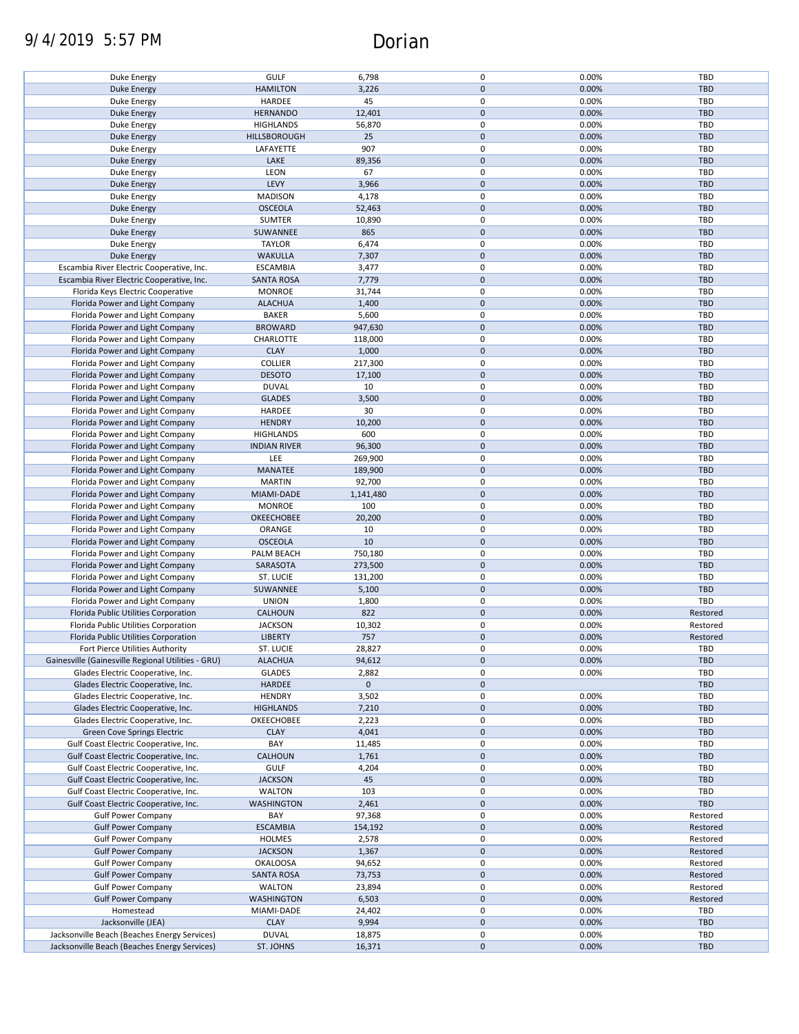# 9/4/2019 5:57 PM Dorian

| Duke Energy                                                                                  |                           |                  |             |                |                   |
|----------------------------------------------------------------------------------------------|---------------------------|------------------|-------------|----------------|-------------------|
|                                                                                              | <b>GULF</b>               | 6,798            | 0           | 0.00%          | TBD               |
|                                                                                              | <b>HAMILTON</b>           | 3,226            | $\mathbf 0$ | 0.00%          | <b>TBD</b>        |
| <b>Duke Energy</b>                                                                           |                           |                  |             |                |                   |
| Duke Energy                                                                                  | HARDEE                    | 45               | 0           | 0.00%          | TBD               |
| <b>Duke Energy</b>                                                                           | <b>HERNANDO</b>           | 12,401           | $\mathbf 0$ | 0.00%          | <b>TBD</b>        |
|                                                                                              |                           |                  |             |                |                   |
| Duke Energy                                                                                  | <b>HIGHLANDS</b>          | 56,870           | 0           | 0.00%          | TBD               |
| <b>Duke Energy</b>                                                                           | <b>HILLSBOROUGH</b>       | 25               | $\mathbf 0$ | 0.00%          | <b>TBD</b>        |
|                                                                                              |                           |                  |             |                |                   |
| Duke Energy                                                                                  | LAFAYETTE                 | 907              | 0           | 0.00%          | TBD               |
| <b>Duke Energy</b>                                                                           | LAKE                      | 89,356           | $\mathbf 0$ | 0.00%          | <b>TBD</b>        |
|                                                                                              |                           |                  |             |                |                   |
| Duke Energy                                                                                  | LEON                      | 67               | 0           | 0.00%          | <b>TBD</b>        |
| Duke Energy                                                                                  | LEVY                      | 3,966            | $\mathbf 0$ | 0.00%          | <b>TBD</b>        |
|                                                                                              |                           |                  | 0           |                |                   |
| Duke Energy                                                                                  | <b>MADISON</b>            | 4,178            |             | 0.00%          | TBD               |
| <b>Duke Energy</b>                                                                           | <b>OSCEOLA</b>            | 52,463           | $\mathbf 0$ | 0.00%          | <b>TBD</b>        |
| Duke Energy                                                                                  | <b>SUMTER</b>             | 10,890           | 0           | 0.00%          | TBD               |
|                                                                                              |                           |                  |             |                |                   |
| <b>Duke Energy</b>                                                                           | SUWANNEE                  | 865              | $\mathbf 0$ | 0.00%          | <b>TBD</b>        |
| Duke Energy                                                                                  | <b>TAYLOR</b>             | 6,474            | 0           | 0.00%          | TBD               |
|                                                                                              |                           |                  |             |                |                   |
| <b>Duke Energy</b>                                                                           | WAKULLA                   | 7,307            | $\mathbf 0$ | 0.00%          | <b>TBD</b>        |
| Escambia River Electric Cooperative, Inc.                                                    | <b>ESCAMBIA</b>           | 3,477            | 0           | 0.00%          | TBD               |
|                                                                                              |                           |                  |             |                |                   |
| Escambia River Electric Cooperative, Inc.                                                    | <b>SANTA ROSA</b>         | 7,779            | $\pmb{0}$   | 0.00%          | <b>TBD</b>        |
| Florida Keys Electric Cooperative                                                            | <b>MONROE</b>             | 31,744           | 0           | 0.00%          | TBD               |
| Florida Power and Light Company                                                              | <b>ALACHUA</b>            | 1,400            | $\mathbf 0$ | 0.00%          | <b>TBD</b>        |
|                                                                                              |                           |                  |             |                |                   |
| Florida Power and Light Company                                                              | <b>BAKER</b>              | 5,600            | 0           | 0.00%          | TBD               |
| Florida Power and Light Company                                                              | <b>BROWARD</b>            | 947,630          | $\pmb{0}$   | 0.00%          | <b>TBD</b>        |
|                                                                                              |                           |                  |             |                |                   |
| Florida Power and Light Company                                                              | CHARLOTTE                 | 118,000          | 0           | 0.00%          | TBD               |
| Florida Power and Light Company                                                              | <b>CLAY</b>               | 1,000            | $\mathbf 0$ | 0.00%          | <b>TBD</b>        |
|                                                                                              |                           |                  |             |                |                   |
| Florida Power and Light Company                                                              | <b>COLLIER</b>            | 217,300          | 0           | 0.00%          | <b>TBD</b>        |
| Florida Power and Light Company                                                              | <b>DESOTO</b>             | 17,100           | $\mathbf 0$ | 0.00%          | <b>TBD</b>        |
|                                                                                              |                           |                  |             |                |                   |
| Florida Power and Light Company                                                              | <b>DUVAL</b>              | 10               | 0           | 0.00%          | TBD               |
| Florida Power and Light Company                                                              | <b>GLADES</b>             | 3,500            | $\pmb{0}$   | 0.00%          | <b>TBD</b>        |
|                                                                                              |                           |                  | 0           |                |                   |
| Florida Power and Light Company                                                              | HARDEE                    | 30               |             | 0.00%          | TBD               |
| Florida Power and Light Company                                                              | <b>HENDRY</b>             | 10,200           | $\mathbf 0$ | 0.00%          | <b>TBD</b>        |
| Florida Power and Light Company                                                              | <b>HIGHLANDS</b>          | 600              | $\pmb{0}$   | 0.00%          | TBD               |
|                                                                                              |                           |                  |             |                |                   |
| Florida Power and Light Company                                                              | <b>INDIAN RIVER</b>       | 96,300           | $\mathbf 0$ | 0.00%          | <b>TBD</b>        |
| Florida Power and Light Company                                                              | LEE                       | 269,900          | 0           | 0.00%          | TBD               |
|                                                                                              |                           |                  |             |                |                   |
| Florida Power and Light Company                                                              | MANATEE                   | 189,900          | $\mathbf 0$ | 0.00%          | <b>TBD</b>        |
| Florida Power and Light Company                                                              | <b>MARTIN</b>             | 92,700           | 0           | 0.00%          | TBD               |
|                                                                                              |                           |                  |             |                |                   |
| Florida Power and Light Company                                                              | MIAMI-DADE                | 1,141,480        | $\mathbf 0$ | 0.00%          | <b>TBD</b>        |
| Florida Power and Light Company                                                              | <b>MONROE</b>             | 100              | 0           | 0.00%          | <b>TBD</b>        |
|                                                                                              |                           |                  | $\mathbf 0$ |                |                   |
| Florida Power and Light Company                                                              | OKEECHOBEE                | 20,200           |             | 0.00%          | <b>TBD</b>        |
| Florida Power and Light Company                                                              | ORANGE                    | 10               | 0           | 0.00%          | TBD               |
|                                                                                              | <b>OSCEOLA</b>            | 10               | $\mathbf 0$ | 0.00%          | <b>TBD</b>        |
| Florida Power and Light Company                                                              |                           |                  |             |                |                   |
|                                                                                              |                           |                  |             |                |                   |
| Florida Power and Light Company                                                              | PALM BEACH                | 750,180          | 0           | 0.00%          | TBD               |
|                                                                                              |                           |                  |             |                |                   |
| Florida Power and Light Company                                                              | SARASOTA                  | 273,500          | $\mathbf 0$ | 0.00%          | <b>TBD</b>        |
| Florida Power and Light Company                                                              | ST. LUCIE                 | 131,200          | 0           | 0.00%          | TBD               |
|                                                                                              |                           |                  |             |                |                   |
| Florida Power and Light Company                                                              | SUWANNEE                  | 5,100            | $\mathbf 0$ | 0.00%          | <b>TBD</b>        |
| Florida Power and Light Company                                                              | <b>UNION</b>              | 1,800            | 0           | 0.00%          | TBD               |
|                                                                                              |                           |                  |             |                |                   |
| Florida Public Utilities Corporation                                                         | CALHOUN                   | 822              | $\mathbf 0$ | 0.00%          | Restored          |
| Florida Public Utilities Corporation                                                         | <b>JACKSON</b>            | 10,302           | 0           | 0.00%          | Restored          |
|                                                                                              |                           |                  |             |                |                   |
| Florida Public Utilities Corporation                                                         | <b>LIBERTY</b>            | 757              | $\mathbf 0$ | 0.00%          | Restored          |
| Fort Pierce Utilities Authority                                                              | <b>ST. LUCIE</b>          | 28,827           | 0           | 0.00%          | TBD               |
| Gainesville (Gainesville Regional Utilities - GRU)                                           | <b>ALACHUA</b>            | 94,612           | $\mathbf 0$ | 0.00%          | TBD               |
|                                                                                              |                           |                  |             |                |                   |
| Glades Electric Cooperative, Inc.                                                            | <b>GLADES</b>             | 2,882            | 0           | 0.00%          | TBD               |
| Glades Electric Cooperative, Inc.                                                            | HARDEE                    | $\mathbf 0$      | $\pmb{0}$   |                | TBD               |
|                                                                                              |                           |                  |             |                |                   |
| Glades Electric Cooperative, Inc.                                                            | <b>HENDRY</b>             | 3,502            | 0           | 0.00%          | TBD               |
| Glades Electric Cooperative, Inc.                                                            | <b>HIGHLANDS</b>          | 7,210            | $\pmb{0}$   | 0.00%          | <b>TBD</b>        |
|                                                                                              |                           |                  |             |                |                   |
| Glades Electric Cooperative, Inc.                                                            | OKEECHOBEE                | 2,223            | 0           | 0.00%          | TBD               |
| Green Cove Springs Electric                                                                  | <b>CLAY</b>               | 4,041            | $\pmb{0}$   | 0.00%          | TBD               |
| Gulf Coast Electric Cooperative, Inc.                                                        | BAY                       |                  | 0           | 0.00%          | <b>TBD</b>        |
|                                                                                              |                           | 11,485           |             |                |                   |
| Gulf Coast Electric Cooperative, Inc.                                                        | <b>CALHOUN</b>            | 1,761            | 0           | 0.00%          | <b>TBD</b>        |
| Gulf Coast Electric Cooperative, Inc.                                                        | <b>GULF</b>               | 4,204            | 0           | 0.00%          | <b>TBD</b>        |
|                                                                                              |                           |                  |             |                |                   |
| Gulf Coast Electric Cooperative, Inc.                                                        | <b>JACKSON</b>            | 45               | $\mathbf 0$ | 0.00%          | TBD               |
| Gulf Coast Electric Cooperative, Inc.                                                        | <b>WALTON</b>             | 103              | 0           | 0.00%          | TBD               |
|                                                                                              |                           |                  |             |                |                   |
| Gulf Coast Electric Cooperative, Inc.                                                        | <b>WASHINGTON</b>         | 2,461            | 0           | 0.00%          | <b>TBD</b>        |
| <b>Gulf Power Company</b>                                                                    | BAY                       | 97,368           | 0           | 0.00%          | Restored          |
|                                                                                              |                           |                  |             |                |                   |
| <b>Gulf Power Company</b>                                                                    | <b>ESCAMBIA</b>           | 154,192          | 0           | 0.00%          | Restored          |
| <b>Gulf Power Company</b>                                                                    | <b>HOLMES</b>             | 2,578            | 0           | 0.00%          | Restored          |
| <b>Gulf Power Company</b>                                                                    | <b>JACKSON</b>            |                  | 0           | 0.00%          | Restored          |
|                                                                                              |                           | 1,367            |             |                |                   |
| <b>Gulf Power Company</b>                                                                    | <b>OKALOOSA</b>           | 94,652           | 0           | 0.00%          | Restored          |
| <b>Gulf Power Company</b>                                                                    | <b>SANTA ROSA</b>         | 73,753           | 0           | 0.00%          | Restored          |
|                                                                                              |                           |                  |             |                |                   |
| <b>Gulf Power Company</b>                                                                    | WALTON                    | 23,894           | 0           | 0.00%          | Restored          |
| <b>Gulf Power Company</b>                                                                    | WASHINGTON                | 6,503            | 0           | 0.00%          | Restored          |
|                                                                                              |                           |                  |             |                |                   |
| Homestead                                                                                    | MIAMI-DADE                | 24,402           | 0           | 0.00%          | TBD               |
| Jacksonville (JEA)                                                                           | <b>CLAY</b>               | 9,994            | $\mathbf 0$ | 0.00%          | <b>TBD</b>        |
|                                                                                              |                           |                  |             |                |                   |
| Jacksonville Beach (Beaches Energy Services)<br>Jacksonville Beach (Beaches Energy Services) | <b>DUVAL</b><br>ST. JOHNS | 18,875<br>16,371 | 0<br>0      | 0.00%<br>0.00% | TBD<br><b>TBD</b> |